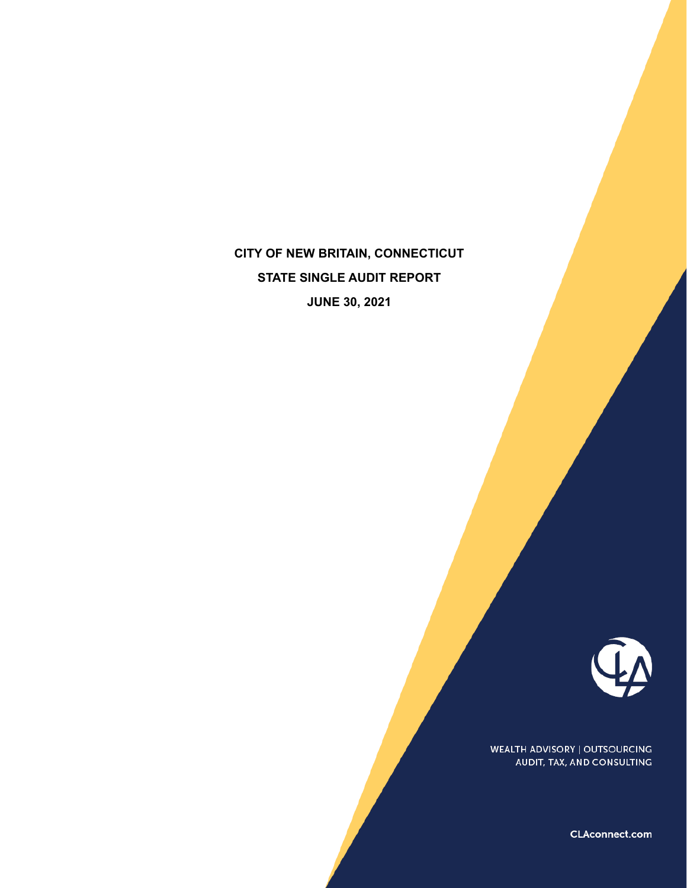# **CITY OF NEW BRITAIN, CONNECTICUT STATE SINGLE AUDIT REPORT JUNE 30, 2021**



WEALTH ADVISORY | OUTSOURCING AUDIT, TAX, AND CONSULTING

CLAconnect.com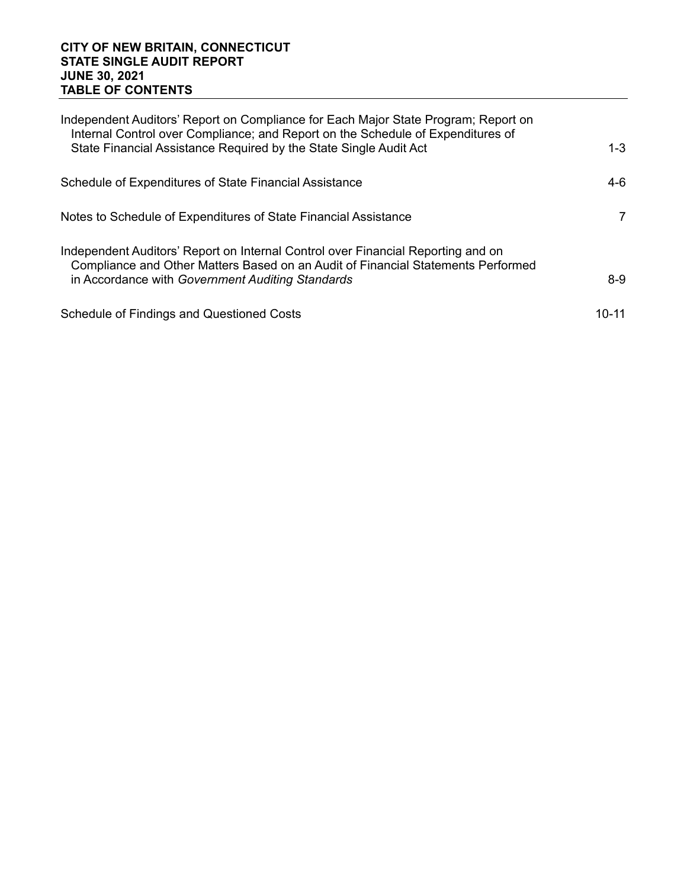#### **CITY OF NEW BRITAIN, CONNECTICUT STATE SINGLE AUDIT REPORT JUNE 30, 2021 TABLE OF CONTENTS**

| Independent Auditors' Report on Compliance for Each Major State Program; Report on<br>Internal Control over Compliance; and Report on the Schedule of Expenditures of                                                    | $1 - 3$        |
|--------------------------------------------------------------------------------------------------------------------------------------------------------------------------------------------------------------------------|----------------|
| State Financial Assistance Required by the State Single Audit Act                                                                                                                                                        |                |
| Schedule of Expenditures of State Financial Assistance                                                                                                                                                                   | 4-6            |
| Notes to Schedule of Expenditures of State Financial Assistance                                                                                                                                                          | $\overline{7}$ |
| Independent Auditors' Report on Internal Control over Financial Reporting and on<br>Compliance and Other Matters Based on an Audit of Financial Statements Performed<br>in Accordance with Government Auditing Standards | $8-9$          |
| <b>Schedule of Findings and Questioned Costs</b>                                                                                                                                                                         | 10-11          |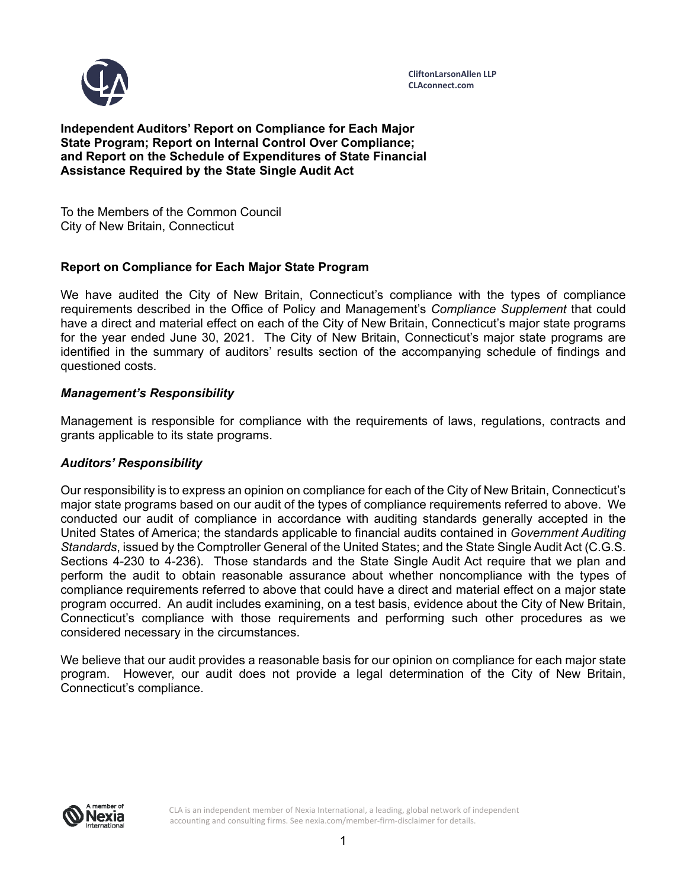

#### **Independent Auditors' Report on Compliance for Each Major State Program; Report on Internal Control Over Compliance; and Report on the Schedule of Expenditures of State Financial Assistance Required by the State Single Audit Act**

To the Members of the Common Council City of New Britain, Connecticut

## **Report on Compliance for Each Major State Program**

We have audited the City of New Britain, Connecticut's compliance with the types of compliance requirements described in the Office of Policy and Management's *Compliance Supplement* that could have a direct and material effect on each of the City of New Britain, Connecticut's major state programs for the year ended June 30, 2021. The City of New Britain, Connecticut's major state programs are identified in the summary of auditors' results section of the accompanying schedule of findings and questioned costs.

#### *Management's Responsibility*

Management is responsible for compliance with the requirements of laws, regulations, contracts and grants applicable to its state programs.

#### *Auditors' Responsibility*

Our responsibility is to express an opinion on compliance for each of the City of New Britain, Connecticut's major state programs based on our audit of the types of compliance requirements referred to above. We conducted our audit of compliance in accordance with auditing standards generally accepted in the United States of America; the standards applicable to financial audits contained in *Government Auditing Standards*, issued by the Comptroller General of the United States; and the State Single Audit Act (C.G.S. Sections 4-230 to 4-236). Those standards and the State Single Audit Act require that we plan and perform the audit to obtain reasonable assurance about whether noncompliance with the types of compliance requirements referred to above that could have a direct and material effect on a major state program occurred. An audit includes examining, on a test basis, evidence about the City of New Britain, Connecticut's compliance with those requirements and performing such other procedures as we considered necessary in the circumstances.

We believe that our audit provides a reasonable basis for our opinion on compliance for each major state program. However, our audit does not provide a legal determination of the City of New Britain, Connecticut's compliance.

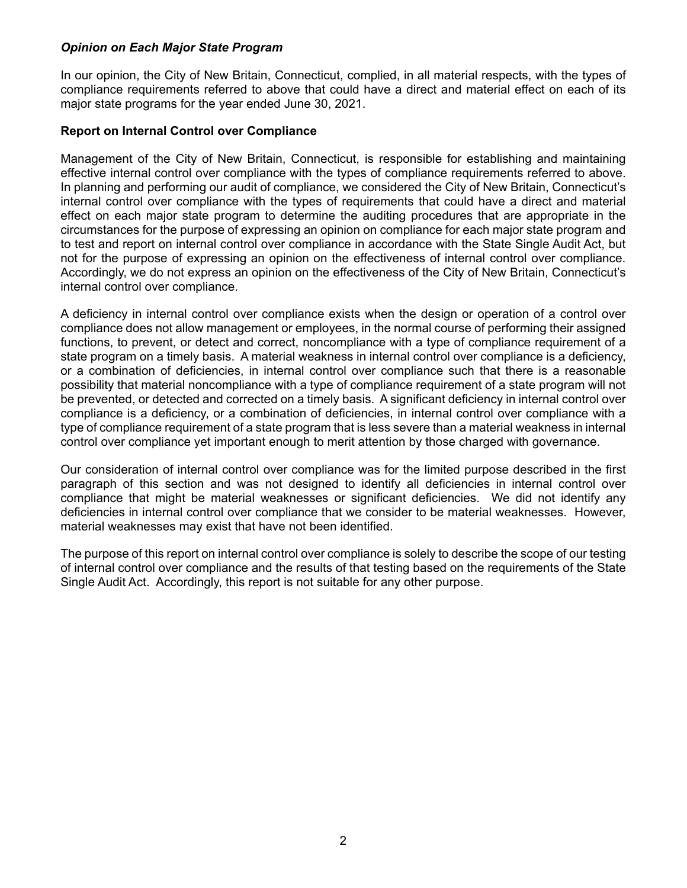#### *Opinion on Each Major State Program*

In our opinion, the City of New Britain, Connecticut, complied, in all material respects, with the types of compliance requirements referred to above that could have a direct and material effect on each of its major state programs for the year ended June 30, 2021.

#### **Report on Internal Control over Compliance**

Management of the City of New Britain, Connecticut, is responsible for establishing and maintaining effective internal control over compliance with the types of compliance requirements referred to above. In planning and performing our audit of compliance, we considered the City of New Britain, Connecticut's internal control over compliance with the types of requirements that could have a direct and material effect on each major state program to determine the auditing procedures that are appropriate in the circumstances for the purpose of expressing an opinion on compliance for each major state program and to test and report on internal control over compliance in accordance with the State Single Audit Act, but not for the purpose of expressing an opinion on the effectiveness of internal control over compliance. Accordingly, we do not express an opinion on the effectiveness of the City of New Britain, Connecticut's internal control over compliance.

A deficiency in internal control over compliance exists when the design or operation of a control over compliance does not allow management or employees, in the normal course of performing their assigned functions, to prevent, or detect and correct, noncompliance with a type of compliance requirement of a state program on a timely basis. A material weakness in internal control over compliance is a deficiency, or a combination of deficiencies, in internal control over compliance such that there is a reasonable possibility that material noncompliance with a type of compliance requirement of a state program will not be prevented, or detected and corrected on a timely basis. A significant deficiency in internal control over compliance is a deficiency, or a combination of deficiencies, in internal control over compliance with a type of compliance requirement of a state program that is less severe than a material weakness in internal control over compliance yet important enough to merit attention by those charged with governance.

Our consideration of internal control over compliance was for the limited purpose described in the first paragraph of this section and was not designed to identify all deficiencies in internal control over compliance that might be material weaknesses or significant deficiencies. We did not identify any deficiencies in internal control over compliance that we consider to be material weaknesses. However, material weaknesses may exist that have not been identified.

The purpose of this report on internal control over compliance is solely to describe the scope of our testing of internal control over compliance and the results of that testing based on the requirements of the State Single Audit Act. Accordingly, this report is not suitable for any other purpose.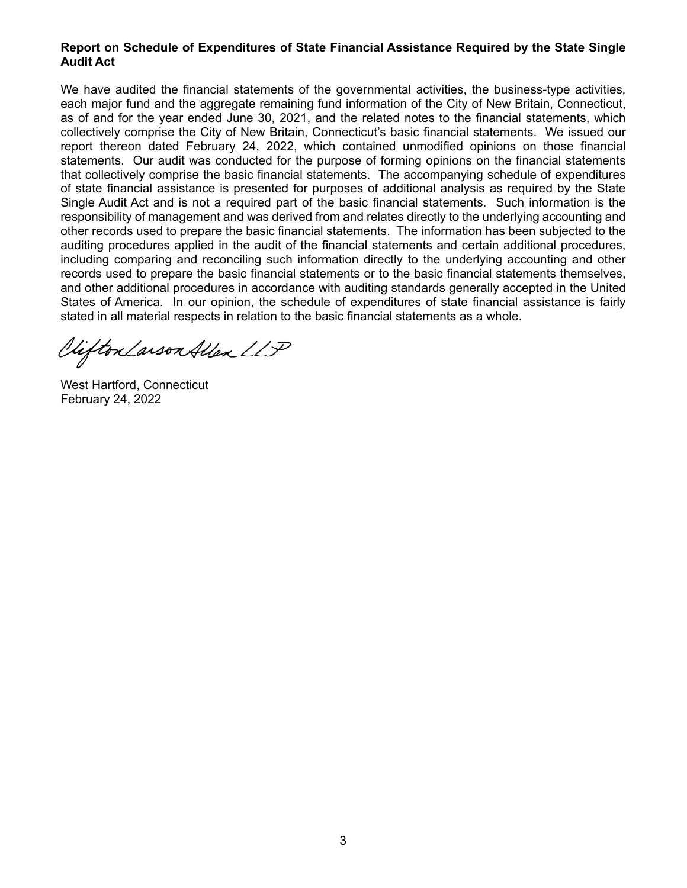#### **Report on Schedule of Expenditures of State Financial Assistance Required by the State Single Audit Act**

We have audited the financial statements of the governmental activities, the business-type activities*,*  each major fund and the aggregate remaining fund information of the City of New Britain, Connecticut, as of and for the year ended June 30, 2021, and the related notes to the financial statements, which collectively comprise the City of New Britain, Connecticut's basic financial statements. We issued our report thereon dated February 24, 2022, which contained unmodified opinions on those financial statements. Our audit was conducted for the purpose of forming opinions on the financial statements that collectively comprise the basic financial statements. The accompanying schedule of expenditures of state financial assistance is presented for purposes of additional analysis as required by the State Single Audit Act and is not a required part of the basic financial statements. Such information is the responsibility of management and was derived from and relates directly to the underlying accounting and other records used to prepare the basic financial statements. The information has been subjected to the auditing procedures applied in the audit of the financial statements and certain additional procedures, including comparing and reconciling such information directly to the underlying accounting and other records used to prepare the basic financial statements or to the basic financial statements themselves, and other additional procedures in accordance with auditing standards generally accepted in the United States of America. In our opinion, the schedule of expenditures of state financial assistance is fairly stated in all material respects in relation to the basic financial statements as a whole.

Clifton Larson Allen LLP

West Hartford, Connecticut February 24, 2022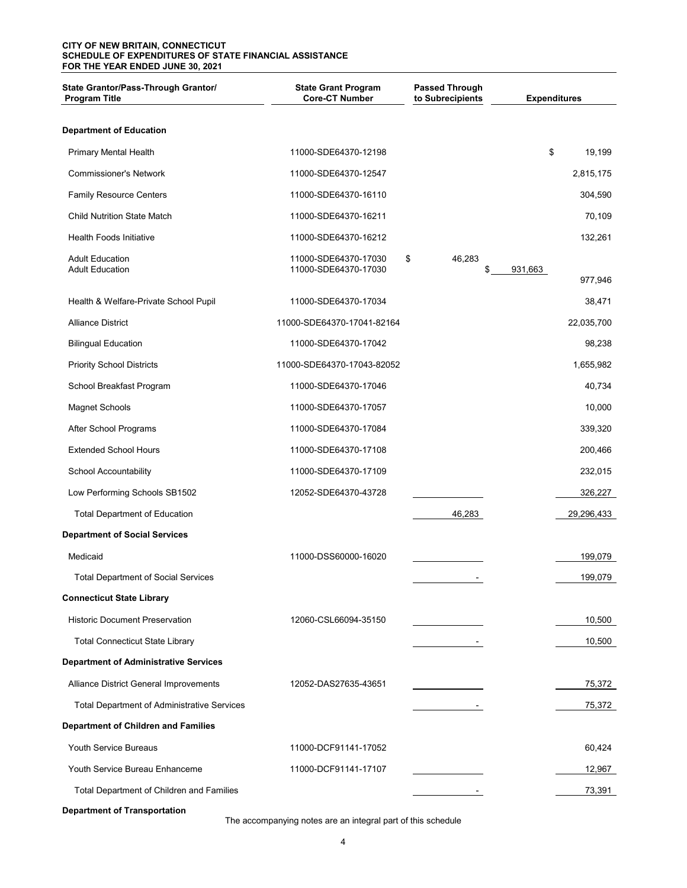#### **CITY OF NEW BRITAIN, CONNECTICUT SCHEDULE OF EXPENDITURES OF STATE FINANCIAL ASSISTANCE FOR THE YEAR ENDED JUNE 30, 2021**

| State Grantor/Pass-Through Grantor/<br><b>Program Title</b> | <b>State Grant Program</b><br><b>Core-CT Number</b> | <b>Passed Through</b><br>to Subrecipients | <b>Expenditures</b> |
|-------------------------------------------------------------|-----------------------------------------------------|-------------------------------------------|---------------------|
| <b>Department of Education</b>                              |                                                     |                                           |                     |
| Primary Mental Health                                       | 11000-SDE64370-12198                                |                                           | \$<br>19,199        |
| <b>Commissioner's Network</b>                               | 11000-SDE64370-12547                                |                                           | 2,815,175           |
| <b>Family Resource Centers</b>                              | 11000-SDE64370-16110                                |                                           | 304,590             |
| <b>Child Nutrition State Match</b>                          | 11000-SDE64370-16211                                |                                           | 70,109              |
| <b>Health Foods Initiative</b>                              | 11000-SDE64370-16212                                |                                           | 132,261             |
| <b>Adult Education</b><br><b>Adult Education</b>            | 11000-SDE64370-17030<br>11000-SDE64370-17030        | \$<br>46,283<br>\$                        | 931,663<br>977,946  |
| Health & Welfare-Private School Pupil                       | 11000-SDE64370-17034                                |                                           | 38,471              |
| <b>Alliance District</b>                                    | 11000-SDE64370-17041-82164                          |                                           | 22,035,700          |
| <b>Bilingual Education</b>                                  | 11000-SDE64370-17042                                |                                           | 98,238              |
| <b>Priority School Districts</b>                            | 11000-SDE64370-17043-82052                          |                                           | 1,655,982           |
| School Breakfast Program                                    | 11000-SDE64370-17046                                |                                           | 40,734              |
| <b>Magnet Schools</b>                                       | 11000-SDE64370-17057                                |                                           | 10,000              |
| After School Programs                                       | 11000-SDE64370-17084                                |                                           | 339,320             |
| <b>Extended School Hours</b>                                | 11000-SDE64370-17108                                |                                           | 200,466             |
| School Accountability                                       | 11000-SDE64370-17109                                |                                           | 232,015             |
| Low Performing Schools SB1502                               | 12052-SDE64370-43728                                |                                           | 326,227             |
| <b>Total Department of Education</b>                        |                                                     | 46,283                                    | 29,296,433          |
| <b>Department of Social Services</b>                        |                                                     |                                           |                     |
| Medicaid                                                    | 11000-DSS60000-16020                                |                                           | 199.079             |
| <b>Total Department of Social Services</b>                  |                                                     |                                           | 199,079             |
| <b>Connecticut State Library</b>                            |                                                     |                                           |                     |
| <b>Historic Document Preservation</b>                       | 12060-CSL66094-35150                                |                                           | 10,500              |
| <b>Total Connecticut State Library</b>                      |                                                     |                                           | 10,500              |
| <b>Department of Administrative Services</b>                |                                                     |                                           |                     |
| Alliance District General Improvements                      | 12052-DAS27635-43651                                |                                           | 75,372              |
| <b>Total Department of Administrative Services</b>          |                                                     |                                           | 75,372              |
| <b>Department of Children and Families</b>                  |                                                     |                                           |                     |
| Youth Service Bureaus                                       | 11000-DCF91141-17052                                |                                           | 60,424              |
| Youth Service Bureau Enhanceme                              | 11000-DCF91141-17107                                |                                           | 12,967              |
| Total Department of Children and Families                   |                                                     |                                           | 73,391              |

**Department of Transportation**

The accompanying notes are an integral part of this schedule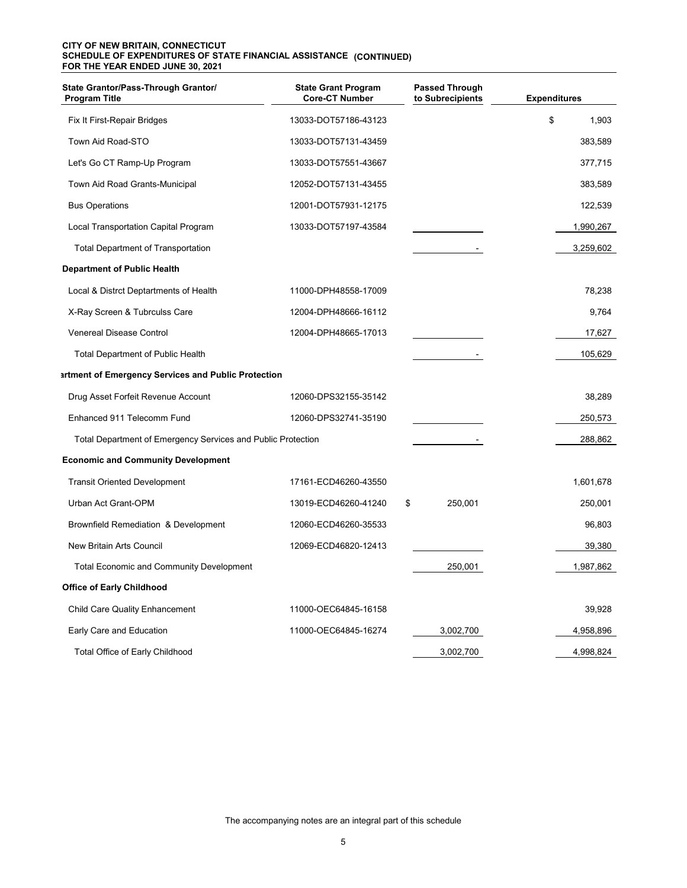#### **SCHEDULE OF EXPENDITURES OF STATE FINANCIAL ASSISTANCE (CONTINUED) CITY OF NEW BRITAIN, CONNECTICUT SCHEDULE OF EXPENDITURES OF STATE FINANCIAL ASSISTANCE FOR THE YEAR ENDED JUNE 30, 2021**

| State Grantor/Pass-Through Grantor/<br><b>Program Title</b>  | <b>State Grant Program</b><br><b>Core-CT Number</b> | <b>Passed Through</b><br>to Subrecipients | <b>Expenditures</b> |
|--------------------------------------------------------------|-----------------------------------------------------|-------------------------------------------|---------------------|
| Fix It First-Repair Bridges                                  | 13033-DOT57186-43123                                |                                           | \$<br>1,903         |
| Town Aid Road-STO                                            | 13033-DOT57131-43459                                |                                           | 383,589             |
| Let's Go CT Ramp-Up Program                                  | 13033-DOT57551-43667                                |                                           | 377,715             |
| Town Aid Road Grants-Municipal                               | 12052-DOT57131-43455                                |                                           | 383,589             |
| <b>Bus Operations</b>                                        | 12001-DOT57931-12175                                |                                           | 122,539             |
| Local Transportation Capital Program                         | 13033-DOT57197-43584                                |                                           | 1,990,267           |
| <b>Total Department of Transportation</b>                    |                                                     |                                           | 3,259,602           |
| <b>Department of Public Health</b>                           |                                                     |                                           |                     |
| Local & Distrct Deptartments of Health                       | 11000-DPH48558-17009                                |                                           | 78,238              |
| X-Ray Screen & Tubrculss Care                                | 12004-DPH48666-16112                                |                                           | 9,764               |
| Venereal Disease Control                                     | 12004-DPH48665-17013                                |                                           | 17,627              |
| Total Department of Public Health                            |                                                     |                                           | 105,629             |
| artment of Emergency Services and Public Protection          |                                                     |                                           |                     |
| Drug Asset Forfeit Revenue Account                           | 12060-DPS32155-35142                                |                                           | 38,289              |
| Enhanced 911 Telecomm Fund                                   | 12060-DPS32741-35190                                |                                           | 250,573             |
| Total Department of Emergency Services and Public Protection |                                                     |                                           | 288,862             |
| <b>Economic and Community Development</b>                    |                                                     |                                           |                     |
| <b>Transit Oriented Development</b>                          | 17161-ECD46260-43550                                |                                           | 1,601,678           |
| Urban Act Grant-OPM                                          | 13019-ECD46260-41240                                | \$<br>250,001                             | 250,001             |
| Brownfield Remediation & Development                         | 12060-ECD46260-35533                                |                                           | 96,803              |
| New Britain Arts Council                                     | 12069-ECD46820-12413                                |                                           | 39,380              |
| <b>Total Economic and Community Development</b>              |                                                     | 250,001                                   | 1,987,862           |
| <b>Office of Early Childhood</b>                             |                                                     |                                           |                     |
| <b>Child Care Quality Enhancement</b>                        | 11000-OEC64845-16158                                |                                           | 39,928              |
| Early Care and Education                                     | 11000-OEC64845-16274                                | 3,002,700                                 | 4,958,896           |
| Total Office of Early Childhood                              |                                                     | 3,002,700                                 | 4,998,824           |

The accompanying notes are an integral part of this schedule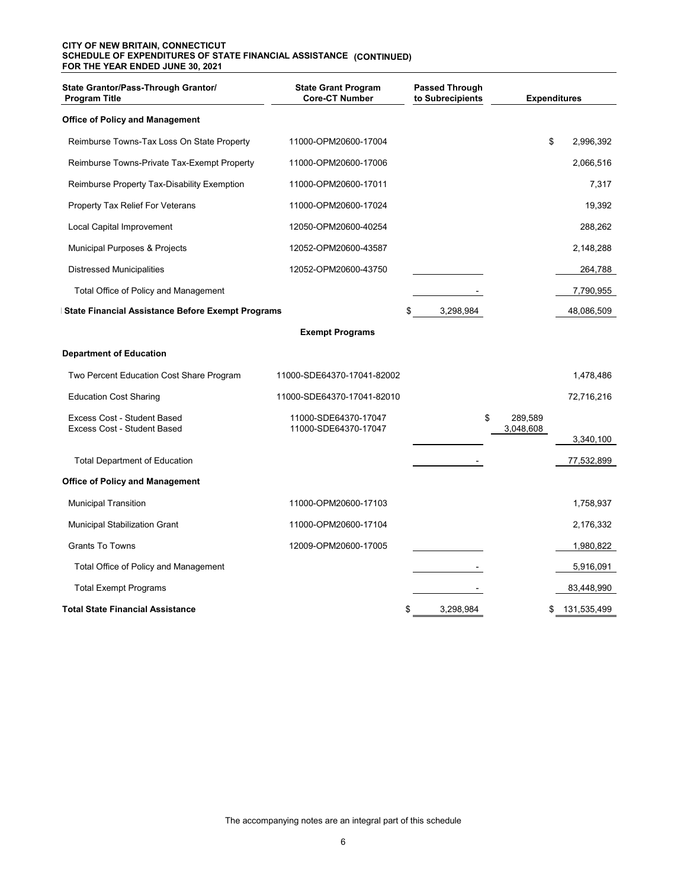#### **SCHEDULE OF EXPENDITURES OF STATE FINANCIAL ASSISTANCE (CONTINUED) CITY OF NEW BRITAIN, CONNECTICUT SCHEDULE OF EXPENDITURES OF STATE FINANCIAL ASSISTANCE FOR THE YEAR ENDED JUNE 30, 2021**

| State Grantor/Pass-Through Grantor/<br><b>Program Title</b>       | <b>State Grant Program</b><br><b>Core-CT Number</b> | <b>Passed Through</b><br>to Subrecipients | <b>Expenditures</b>        |             |
|-------------------------------------------------------------------|-----------------------------------------------------|-------------------------------------------|----------------------------|-------------|
| <b>Office of Policy and Management</b>                            |                                                     |                                           |                            |             |
| Reimburse Towns-Tax Loss On State Property                        | 11000-OPM20600-17004                                |                                           | \$                         | 2,996,392   |
| Reimburse Towns-Private Tax-Exempt Property                       | 11000-OPM20600-17006                                |                                           |                            | 2,066,516   |
| Reimburse Property Tax-Disability Exemption                       | 11000-OPM20600-17011                                |                                           |                            | 7,317       |
| Property Tax Relief For Veterans                                  | 11000-OPM20600-17024                                |                                           |                            | 19,392      |
| Local Capital Improvement                                         | 12050-OPM20600-40254                                |                                           |                            | 288,262     |
| Municipal Purposes & Projects                                     | 12052-OPM20600-43587                                |                                           |                            | 2,148,288   |
| <b>Distressed Municipalities</b>                                  | 12052-OPM20600-43750                                |                                           |                            | 264,788     |
| Total Office of Policy and Management                             |                                                     |                                           |                            | 7,790,955   |
| <b>State Financial Assistance Before Exempt Programs</b>          |                                                     | 3,298,984<br>\$                           |                            | 48,086,509  |
|                                                                   | <b>Exempt Programs</b>                              |                                           |                            |             |
| <b>Department of Education</b>                                    |                                                     |                                           |                            |             |
| Two Percent Education Cost Share Program                          | 11000-SDE64370-17041-82002                          |                                           |                            | 1,478,486   |
| <b>Education Cost Sharing</b>                                     | 11000-SDE64370-17041-82010                          |                                           |                            | 72,716,216  |
| Excess Cost - Student Based<br><b>Excess Cost - Student Based</b> | 11000-SDE64370-17047<br>11000-SDE64370-17047        |                                           | 289,589<br>\$<br>3,048,608 | 3,340,100   |
| <b>Total Department of Education</b>                              |                                                     |                                           |                            | 77,532,899  |
| <b>Office of Policy and Management</b>                            |                                                     |                                           |                            |             |
| <b>Municipal Transition</b>                                       | 11000-OPM20600-17103                                |                                           |                            | 1,758,937   |
| Municipal Stabilization Grant                                     | 11000-OPM20600-17104                                |                                           |                            | 2,176,332   |
| <b>Grants To Towns</b>                                            | 12009-OPM20600-17005                                |                                           |                            | 1,980,822   |
| Total Office of Policy and Management                             |                                                     |                                           |                            | 5,916,091   |
| <b>Total Exempt Programs</b>                                      |                                                     |                                           |                            | 83,448,990  |
| <b>Total State Financial Assistance</b>                           |                                                     | 3,298,984<br>\$                           | \$                         | 131,535,499 |

The accompanying notes are an integral part of this schedule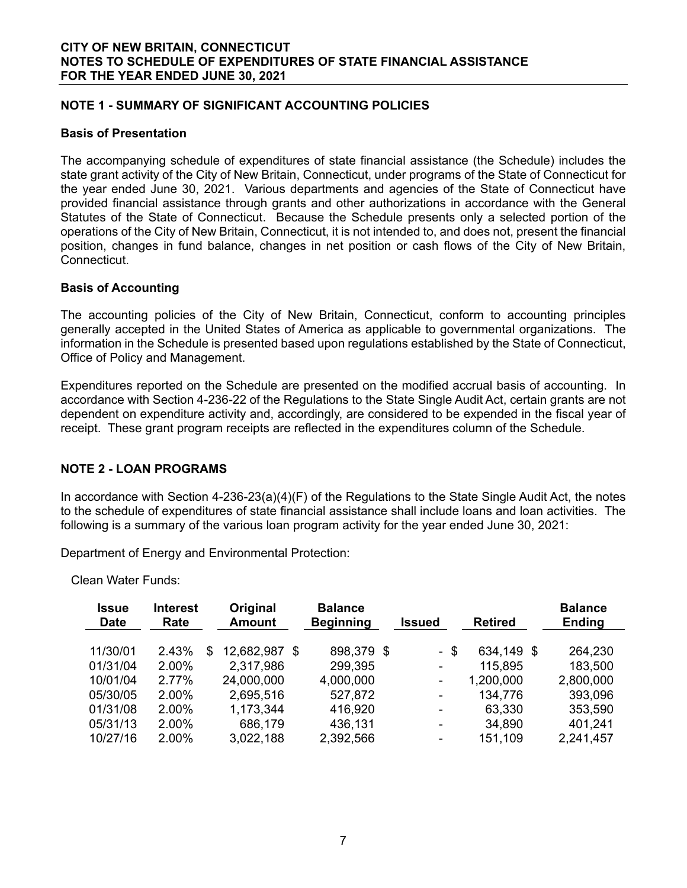#### **NOTE 1 - SUMMARY OF SIGNIFICANT ACCOUNTING POLICIES**

#### **Basis of Presentation**

The accompanying schedule of expenditures of state financial assistance (the Schedule) includes the state grant activity of the City of New Britain, Connecticut, under programs of the State of Connecticut for the year ended June 30, 2021. Various departments and agencies of the State of Connecticut have provided financial assistance through grants and other authorizations in accordance with the General Statutes of the State of Connecticut. Because the Schedule presents only a selected portion of the operations of the City of New Britain, Connecticut, it is not intended to, and does not, present the financial position, changes in fund balance, changes in net position or cash flows of the City of New Britain, Connecticut.

#### **Basis of Accounting**

The accounting policies of the City of New Britain, Connecticut, conform to accounting principles generally accepted in the United States of America as applicable to governmental organizations. The information in the Schedule is presented based upon regulations established by the State of Connecticut, Office of Policy and Management.

Expenditures reported on the Schedule are presented on the modified accrual basis of accounting. In accordance with Section 4-236-22 of the Regulations to the State Single Audit Act, certain grants are not dependent on expenditure activity and, accordingly, are considered to be expended in the fiscal year of receipt. These grant program receipts are reflected in the expenditures column of the Schedule.

#### **NOTE 2 - LOAN PROGRAMS**

In accordance with Section 4-236-23(a)(4)(F) of the Regulations to the State Single Audit Act, the notes to the schedule of expenditures of state financial assistance shall include loans and loan activities. The following is a summary of the various loan program activity for the year ended June 30, 2021:

Department of Energy and Environmental Protection:

Clean Water Funds:

| <b>Issue</b><br><b>Date</b> | <b>Interest</b><br>Rate |   | Original<br><b>Amount</b> | <b>Balance</b><br><b>Beginning</b> | Issued         |      | <b>Retired</b> | <b>Balance</b><br><b>Ending</b> |
|-----------------------------|-------------------------|---|---------------------------|------------------------------------|----------------|------|----------------|---------------------------------|
| 11/30/01                    | 2.43%                   | S | 12,682,987 \$             | 898,379 \$                         |                | - \$ | 634,149 \$     | 264,230                         |
| 01/31/04                    | 2.00%                   |   | 2,317,986                 | 299,395                            | -              |      | 115,895        | 183,500                         |
| 10/01/04                    | 2.77%                   |   | 24,000,000                | 4,000,000                          | $\blacksquare$ |      | 1,200,000      | 2,800,000                       |
| 05/30/05                    | 2.00%                   |   | 2,695,516                 | 527,872                            | ۰              |      | 134,776        | 393,096                         |
| 01/31/08                    | 2.00%                   |   | 1,173,344                 | 416,920                            | -              |      | 63,330         | 353,590                         |
| 05/31/13                    | 2.00%                   |   | 686,179                   | 436,131                            | $\blacksquare$ |      | 34,890         | 401,241                         |
| 10/27/16                    | 2.00%                   |   | 3,022,188                 | 2,392,566                          | ۰              |      | 151,109        | 2,241,457                       |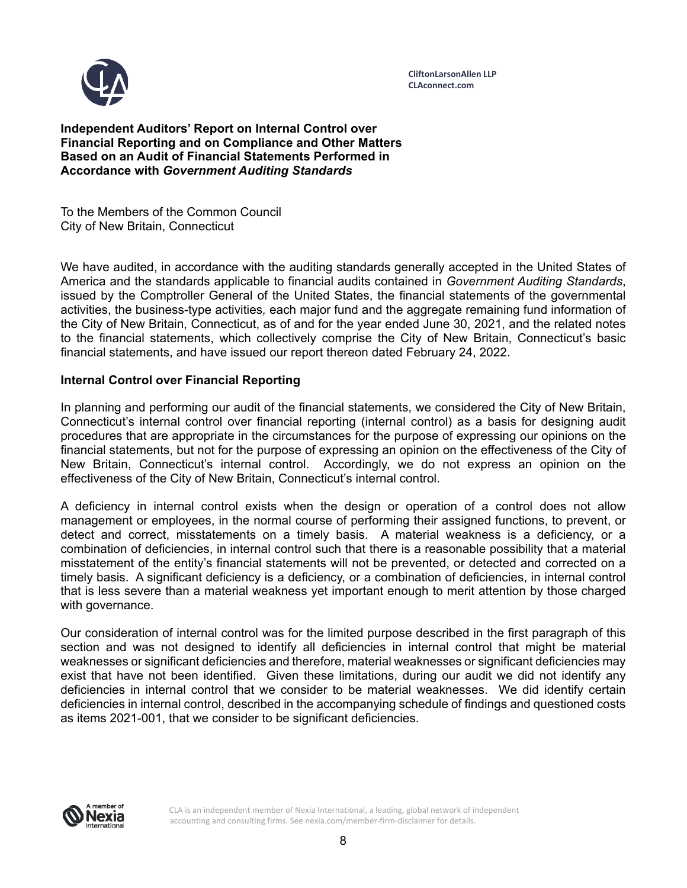

**Independent Auditors' Report on Internal Control over Financial Reporting and on Compliance and Other Matters Based on an Audit of Financial Statements Performed in Accordance with** *Government Auditing Standards* 

To the Members of the Common Council City of New Britain, Connecticut

We have audited, in accordance with the auditing standards generally accepted in the United States of America and the standards applicable to financial audits contained in *Government Auditing Standards*, issued by the Comptroller General of the United States, the financial statements of the governmental activities, the business-type activities*,* each major fund and the aggregate remaining fund information of the City of New Britain, Connecticut, as of and for the year ended June 30, 2021, and the related notes to the financial statements, which collectively comprise the City of New Britain, Connecticut's basic financial statements, and have issued our report thereon dated February 24, 2022.

#### **Internal Control over Financial Reporting**

In planning and performing our audit of the financial statements, we considered the City of New Britain, Connecticut's internal control over financial reporting (internal control) as a basis for designing audit procedures that are appropriate in the circumstances for the purpose of expressing our opinions on the financial statements, but not for the purpose of expressing an opinion on the effectiveness of the City of New Britain, Connecticut's internal control. Accordingly, we do not express an opinion on the effectiveness of the City of New Britain, Connecticut's internal control.

A deficiency in internal control exists when the design or operation of a control does not allow management or employees, in the normal course of performing their assigned functions, to prevent, or detect and correct, misstatements on a timely basis. A material weakness is a deficiency, or a combination of deficiencies, in internal control such that there is a reasonable possibility that a material misstatement of the entity's financial statements will not be prevented, or detected and corrected on a timely basis. A significant deficiency is a deficiency, or a combination of deficiencies, in internal control that is less severe than a material weakness yet important enough to merit attention by those charged with governance.

Our consideration of internal control was for the limited purpose described in the first paragraph of this section and was not designed to identify all deficiencies in internal control that might be material weaknesses or significant deficiencies and therefore, material weaknesses or significant deficiencies may exist that have not been identified. Given these limitations, during our audit we did not identify any deficiencies in internal control that we consider to be material weaknesses. We did identify certain deficiencies in internal control, described in the accompanying schedule of findings and questioned costs as items 2021-001, that we consider to be significant deficiencies.

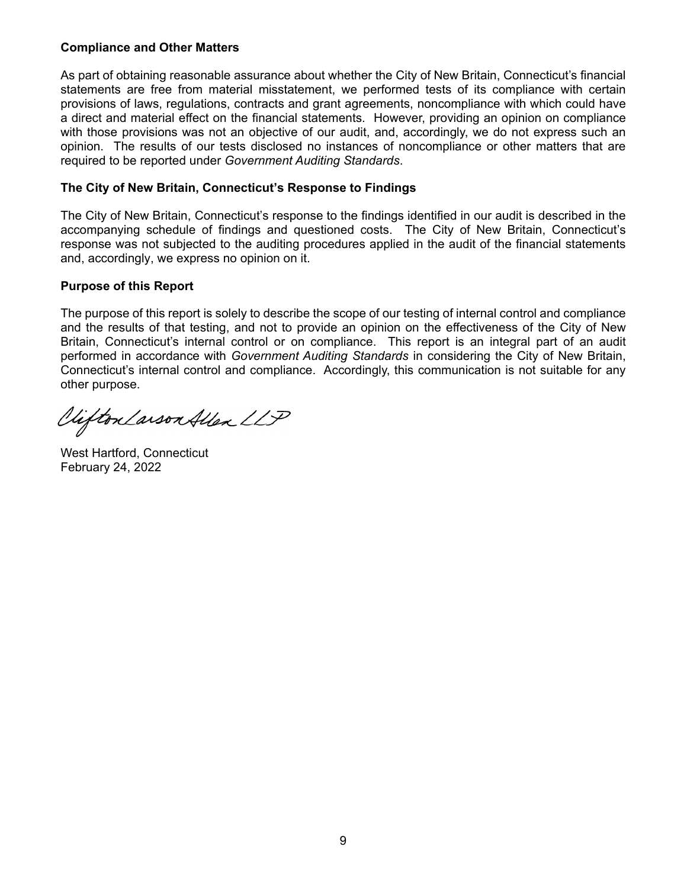#### **Compliance and Other Matters**

As part of obtaining reasonable assurance about whether the City of New Britain, Connecticut's financial statements are free from material misstatement, we performed tests of its compliance with certain provisions of laws, regulations, contracts and grant agreements, noncompliance with which could have a direct and material effect on the financial statements. However, providing an opinion on compliance with those provisions was not an objective of our audit, and, accordingly, we do not express such an opinion. The results of our tests disclosed no instances of noncompliance or other matters that are required to be reported under *Government Auditing Standards*.

#### **The City of New Britain, Connecticut's Response to Findings**

The City of New Britain, Connecticut's response to the findings identified in our audit is described in the accompanying schedule of findings and questioned costs. The City of New Britain, Connecticut's response was not subjected to the auditing procedures applied in the audit of the financial statements and, accordingly, we express no opinion on it.

#### **Purpose of this Report**

The purpose of this report is solely to describe the scope of our testing of internal control and compliance and the results of that testing, and not to provide an opinion on the effectiveness of the City of New Britain, Connecticut's internal control or on compliance. This report is an integral part of an audit performed in accordance with *Government Auditing Standards* in considering the City of New Britain, Connecticut's internal control and compliance. Accordingly, this communication is not suitable for any other purpose.

Viifton Larson Allen LLP

West Hartford, Connecticut February 24, 2022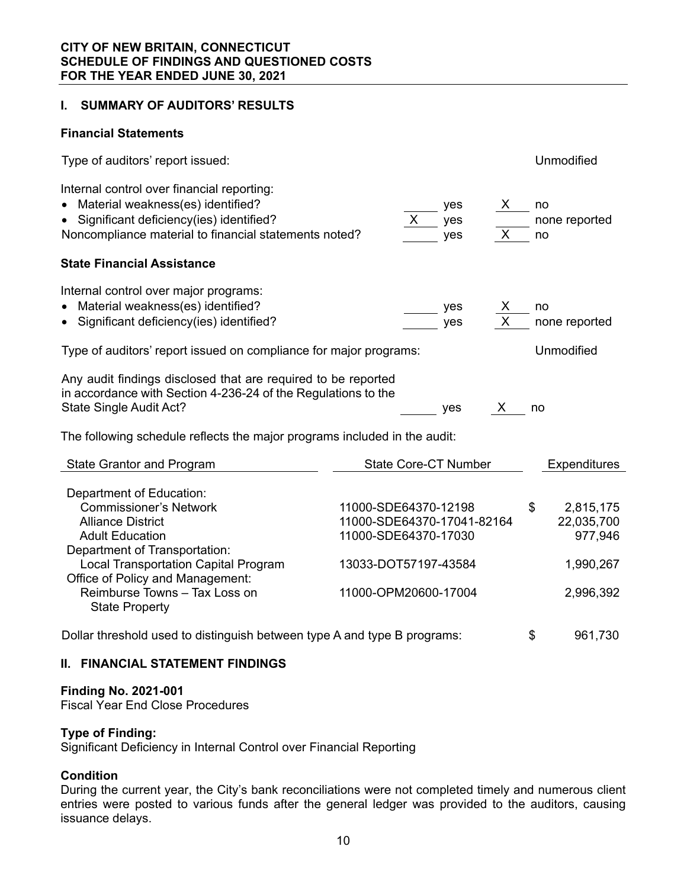#### **CITY OF NEW BRITAIN, CONNECTICUT SCHEDULE OF FINDINGS AND QUESTIONED COSTS FOR THE YEAR ENDED JUNE 30, 2021**

#### **I. SUMMARY OF AUDITORS' RESULTS**

#### **Financial Statements**

| Type of auditors' report issued:                                                                                                                                                                                                                                                              |                                                                                                                            |                   | Unmodified                                                   |
|-----------------------------------------------------------------------------------------------------------------------------------------------------------------------------------------------------------------------------------------------------------------------------------------------|----------------------------------------------------------------------------------------------------------------------------|-------------------|--------------------------------------------------------------|
| Internal control over financial reporting:<br>Material weakness(es) identified?<br>$\bullet$<br>Significant deficiency(ies) identified?<br>$\bullet$<br>Noncompliance material to financial statements noted?                                                                                 | yes<br>X<br>yes<br>yes                                                                                                     | $\mathsf{X}$<br>X | no<br>none reported<br>no                                    |
| <b>State Financial Assistance</b>                                                                                                                                                                                                                                                             |                                                                                                                            |                   |                                                              |
| Internal control over major programs:<br>Material weakness(es) identified?<br>Significant deficiency(ies) identified?<br>$\bullet$                                                                                                                                                            | yes<br>yes                                                                                                                 | X<br>X            | no<br>none reported                                          |
| Type of auditors' report issued on compliance for major programs:                                                                                                                                                                                                                             |                                                                                                                            |                   | Unmodified                                                   |
| Any audit findings disclosed that are required to be reported<br>in accordance with Section 4-236-24 of the Regulations to the<br>State Single Audit Act?<br>The following schedule reflects the major programs included in the audit:                                                        | yes                                                                                                                        | X —<br>no         |                                                              |
| State Grantor and Program                                                                                                                                                                                                                                                                     | <b>State Core-CT Number</b>                                                                                                |                   | <b>Expenditures</b>                                          |
| Department of Education:<br><b>Commissioner's Network</b><br><b>Alliance District</b><br><b>Adult Education</b><br>Department of Transportation:<br><b>Local Transportation Capital Program</b><br>Office of Policy and Management:<br>Reimburse Towns - Tax Loss on<br><b>State Property</b> | 11000-SDE64370-12198<br>11000-SDE64370-17041-82164<br>11000-SDE64370-17030<br>13033-DOT57197-43584<br>11000-OPM20600-17004 | \$                | 2,815,175<br>22,035,700<br>977,946<br>1,990,267<br>2,996,392 |
| Dollar threshold used to distinguish between type A and type B programs:                                                                                                                                                                                                                      |                                                                                                                            | \$                | 961,730                                                      |

#### **II. FINANCIAL STATEMENT FINDINGS**

#### **Finding No. 2021-001**

Fiscal Year End Close Procedures

#### **Type of Finding:**

Significant Deficiency in Internal Control over Financial Reporting

#### **Condition**

During the current year, the City's bank reconciliations were not completed timely and numerous client entries were posted to various funds after the general ledger was provided to the auditors, causing issuance delays.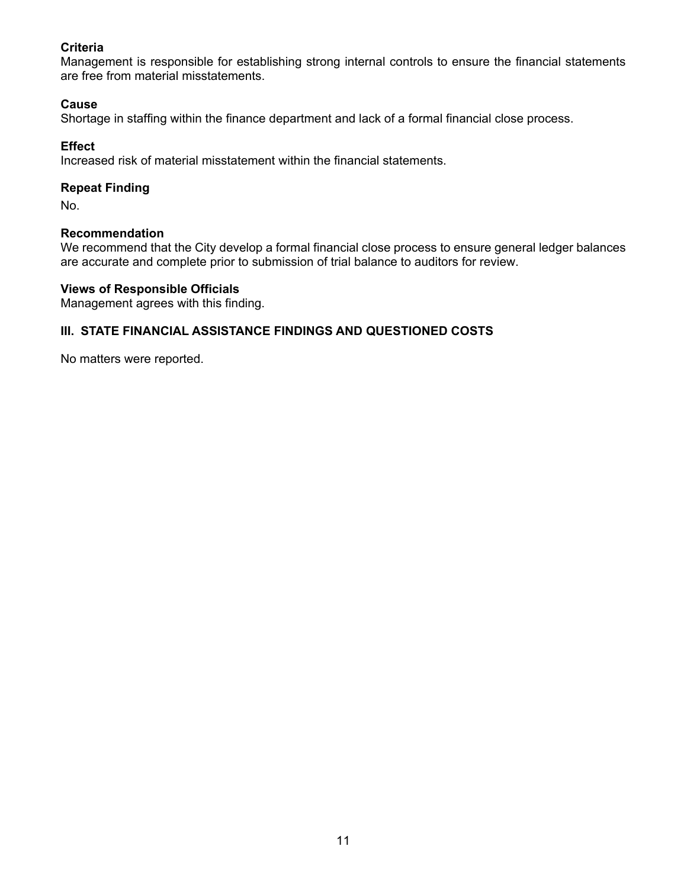## **Criteria**

Management is responsible for establishing strong internal controls to ensure the financial statements are free from material misstatements.

## **Cause**

Shortage in staffing within the finance department and lack of a formal financial close process.

### **Effect**

Increased risk of material misstatement within the financial statements.

#### **Repeat Finding**

No.

#### **Recommendation**

We recommend that the City develop a formal financial close process to ensure general ledger balances are accurate and complete prior to submission of trial balance to auditors for review.

#### **Views of Responsible Officials**

Management agrees with this finding.

#### **III. STATE FINANCIAL ASSISTANCE FINDINGS AND QUESTIONED COSTS**

No matters were reported.